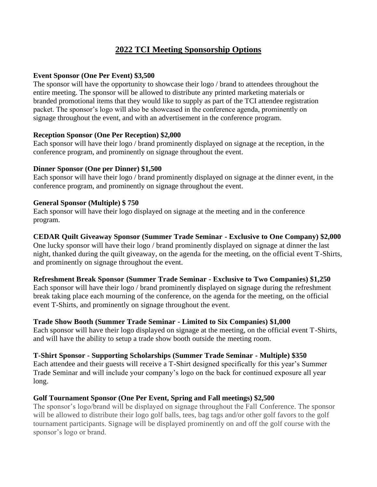# **2022 TCI Meeting Sponsorship Options**

#### **Event Sponsor (One Per Event) \$3,500**

The sponsor will have the opportunity to showcase their logo / brand to attendees throughout the entire meeting. The sponsor will be allowed to distribute any printed marketing materials or branded promotional items that they would like to supply as part of the TCI attendee registration packet. The sponsor's logo will also be showcased in the conference agenda, prominently on signage throughout the event, and with an advertisement in the conference program.

#### **Reception Sponsor (One Per Reception) \$2,000**

Each sponsor will have their logo / brand prominently displayed on signage at the reception, in the conference program, and prominently on signage throughout the event.

### **Dinner Sponsor (One per Dinner) \$1,500**

Each sponsor will have their logo / brand prominently displayed on signage at the dinner event, in the conference program, and prominently on signage throughout the event.

#### **General Sponsor (Multiple) \$ 750**

Each sponsor will have their logo displayed on signage at the meeting and in the conference program.

### **CEDAR Quilt Giveaway Sponsor (Summer Trade Seminar - Exclusive to One Company) \$2,000**

One lucky sponsor will have their logo / brand prominently displayed on signage at dinner the last night, thanked during the quilt giveaway, on the agenda for the meeting, on the official event T-Shirts, and prominently on signage throughout the event.

### **Refreshment Break Sponsor (Summer Trade Seminar - Exclusive to Two Companies) \$1,250**

Each sponsor will have their logo / brand prominently displayed on signage during the refreshment break taking place each mourning of the conference, on the agenda for the meeting, on the official event T-Shirts, and prominently on signage throughout the event.

### **Trade Show Booth (Summer Trade Seminar - Limited to Six Companies) \$1,000**

Each sponsor will have their logo displayed on signage at the meeting, on the official event T-Shirts, and will have the ability to setup a trade show booth outside the meeting room.

### **T-Shirt Sponsor - Supporting Scholarships (Summer Trade Seminar - Multiple) \$350**

Each attendee and their guests will receive a T-Shirt designed specifically for this year's Summer Trade Seminar and will include your company's logo on the back for continued exposure all year long.

### **Golf Tournament Sponsor (One Per Event, Spring and Fall meetings) \$2,500**

The sponsor's logo/brand will be displayed on signage throughout the Fall Conference. The sponsor will be allowed to distribute their logo golf balls, tees, bag tags and/or other golf favors to the golf tournament participants. Signage will be displayed prominently on and off the golf course with the sponsor's logo or brand.